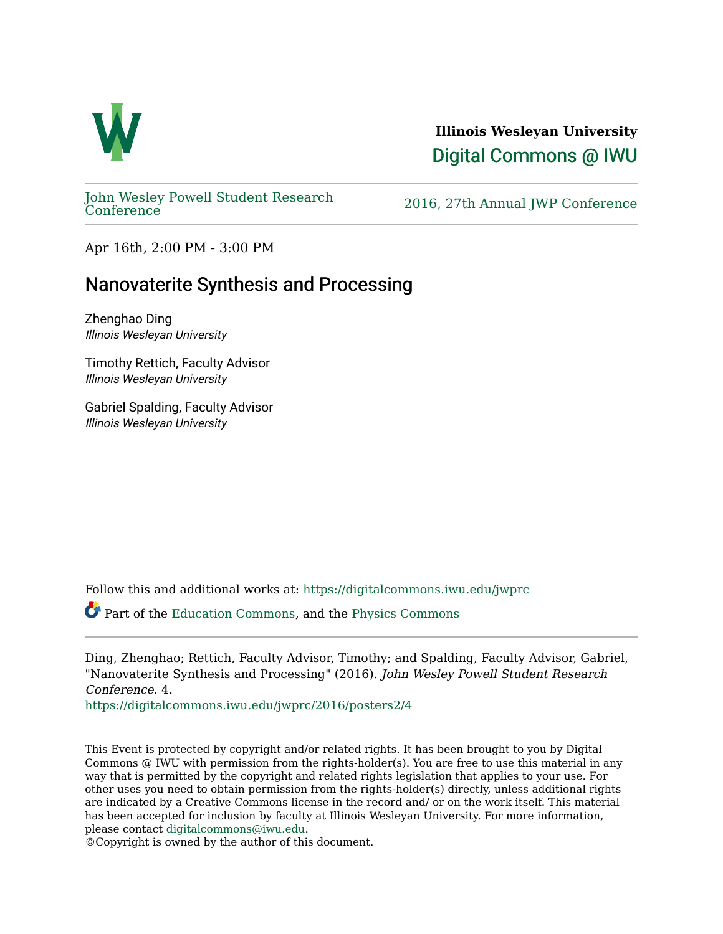

**Illinois Wesleyan University**  [Digital Commons @ IWU](https://digitalcommons.iwu.edu/) 

[John Wesley Powell Student Research](https://digitalcommons.iwu.edu/jwprc) 

2016, 27th Annual JWP [Conference](https://digitalcommons.iwu.edu/jwprc)

Apr 16th, 2:00 PM - 3:00 PM

## Nanovaterite Synthesis and Processing

Zhenghao Ding Illinois Wesleyan University

Timothy Rettich, Faculty Advisor Illinois Wesleyan University

Gabriel Spalding, Faculty Advisor Illinois Wesleyan University

Follow this and additional works at: [https://digitalcommons.iwu.edu/jwprc](https://digitalcommons.iwu.edu/jwprc?utm_source=digitalcommons.iwu.edu%2Fjwprc%2F2016%2Fposters2%2F4&utm_medium=PDF&utm_campaign=PDFCoverPages) 

Part of the [Education Commons](http://network.bepress.com/hgg/discipline/784?utm_source=digitalcommons.iwu.edu%2Fjwprc%2F2016%2Fposters2%2F4&utm_medium=PDF&utm_campaign=PDFCoverPages), and the [Physics Commons](http://network.bepress.com/hgg/discipline/193?utm_source=digitalcommons.iwu.edu%2Fjwprc%2F2016%2Fposters2%2F4&utm_medium=PDF&utm_campaign=PDFCoverPages)

Ding, Zhenghao; Rettich, Faculty Advisor, Timothy; and Spalding, Faculty Advisor, Gabriel, "Nanovaterite Synthesis and Processing" (2016). John Wesley Powell Student Research Conference. 4.

[https://digitalcommons.iwu.edu/jwprc/2016/posters2/4](https://digitalcommons.iwu.edu/jwprc/2016/posters2/4?utm_source=digitalcommons.iwu.edu%2Fjwprc%2F2016%2Fposters2%2F4&utm_medium=PDF&utm_campaign=PDFCoverPages)

This Event is protected by copyright and/or related rights. It has been brought to you by Digital Commons @ IWU with permission from the rights-holder(s). You are free to use this material in any way that is permitted by the copyright and related rights legislation that applies to your use. For other uses you need to obtain permission from the rights-holder(s) directly, unless additional rights are indicated by a Creative Commons license in the record and/ or on the work itself. This material has been accepted for inclusion by faculty at Illinois Wesleyan University. For more information, please contact [digitalcommons@iwu.edu.](mailto:digitalcommons@iwu.edu)

©Copyright is owned by the author of this document.